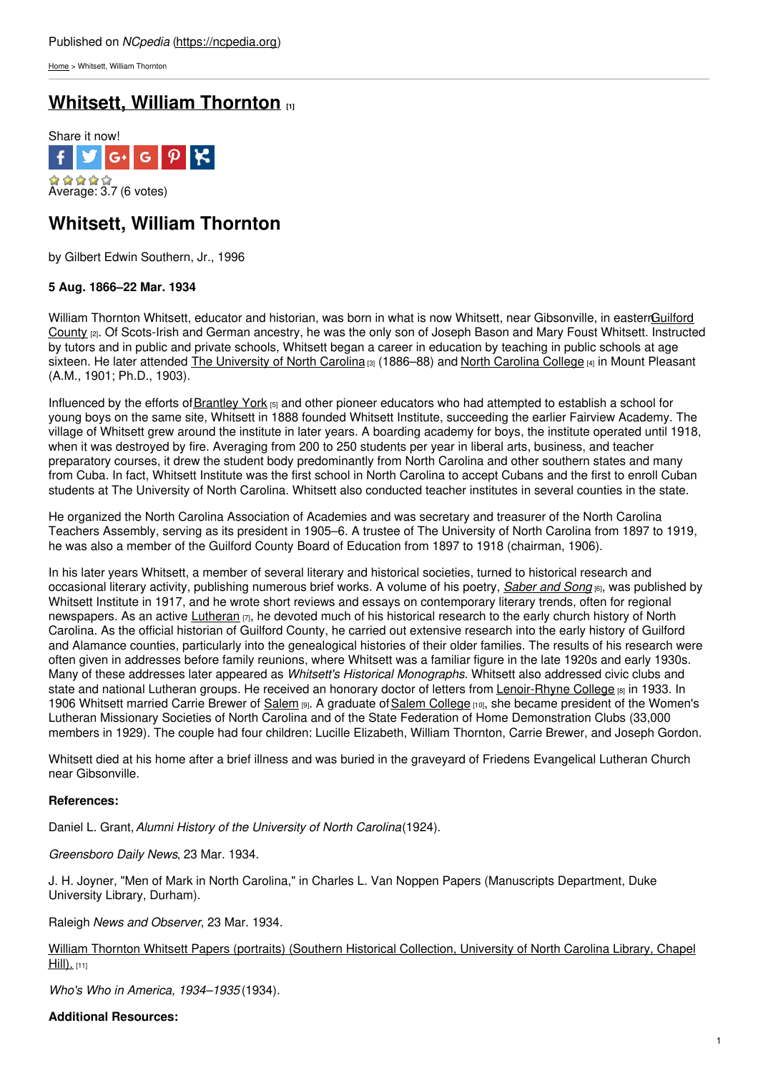[Home](https://ncpedia.org/) > Whitsett, William Thornton

# **Whitsett, William [Thornton](https://ncpedia.org/biography/whitsett-william-thornton) [1]**



# **Whitsett, William Thornton**

by Gilbert Edwin Southern, Jr., 1996

## **5 Aug. 1866–22 Mar. 1934**

William Thornton Whitsett, educator and historian, was born in what is now Whitsett, near Gibsonville, in [easternGuilford](https://ncpedia.org/geography/guilford) County [2]. Of Scots-Irish and German ancestry, he was the only son of Joseph Bason and Mary Foust Whitsett. Instructed by tutors and in public and private schools, [Whitsett](http://www.social9.com) began a career in education by teaching in public schools at age sixteen. He later attended The [University](https://ncpedia.org/university-north-carolina-chapel-hi) of North [Carolina](https://ncpedia.org/north-carolina-college) [3] (1886–88) and North Carolina College [4] in Mount Pleasant (A.M., 1901; Ph.D., 1903).

Influenced by the efforts of **[Brantley](https://ncpedia.org/biography/york-brantley) York**  $[5]$  and other pioneer educators who had attempted to establish a school for young boys on the same site, Whitsett in 1888 founded Whitsett Institute, succeeding the earlier Fairview Academy. The village of Whitsett grew around the institute in later years. A boarding academy for boys, the institute operated until 1918, when it was destroyed by fire. Averaging from 200 to 250 students per year in liberal arts, business, and teacher preparatory courses, it drew the student body predominantly from North Carolina and other southern states and many from Cuba. In fact, Whitsett Institute was the first school in North Carolina to accept Cubans and the first to enroll Cuban students at The University of North Carolina. Whitsett also conducted teacher institutes in several counties in the state.

He organized the North Carolina Association of Academies and was secretary and treasurer of the North Carolina Teachers Assembly, serving as its president in 1905–6. A trustee of The University of North Carolina from 1897 to 1919, he was also a member of the Guilford County Board of Education from 1897 to 1918 (chairman, 1906).

In his later years Whitsett, a member of several literary and historical societies, turned to historical research and occasional literary activity, publishing numerous brief works. A volume of his poetry, *[Saber](https://archive.org/details/saberandsongabo00whitgoog) and Song* [6], was published by Whitsett Institute in 1917, and he wrote short reviews and essays on contemporary literary trends, often for regional newspapers. As an active [Lutheran](https://ncpedia.org/lutheran-church) [7], he devoted much of his historical research to the early church history of North Carolina. As the official historian of Guilford County, he carried out extensive research into the early history of Guilford and Alamance counties, particularly into the genealogical histories of their older families. The results of his research were often given in addresses before family reunions, where Whitsett was a familiar figure in the late 1920s and early 1930s. Many of these addresses later appeared as *Whitsett's Historical Monographs*. Whitsett also addressed civic clubs and state and national Lutheran groups. He received an honorary doctor of letters from [Lenoir-Rhyne](https://ncpedia.org/lenoir-rhyne-college) College [8] in 1933. In 1906 Whitsett married Carrie Brewer of [Salem](https://ncpedia.org/salem) [9]. A graduate of Salem [College](https://ncpedia.org/salem-academy-and-salem-college) [10], she became president of the Women's Lutheran Missionary Societies of North Carolina and of the State Federation of Home Demonstration Clubs (33,000 members in 1929). The couple had four children: Lucille Elizabeth, William Thornton, Carrie Brewer, and Joseph Gordon.

Whitsett died at his home after a brief illness and was buried in the graveyard of Friedens Evangelical Lutheran Church near Gibsonville.

## **References:**

Daniel L. Grant,*Alumni History of the University of North Carolina*(1924).

*Greensboro Daily News*, 23 Mar. 1934.

J. H. Joyner, "Men of Mark in North Carolina," in Charles L. Van Noppen Papers (Manuscripts Department, Duke University Library, Durham).

Raleigh *News and Observer*, 23 Mar. 1934.

William Thornton Whitsett Papers (portraits) (Southern Historical [Collection,](http://www2.lib.unc.edu/mss/inv/w/Whitsett,William_Thornton.html) University of North Carolina Library, Chapel  $Hill$ ). [11]

*Who's Who in America, 1934–1935* (1934).

### **Additional Resources:**